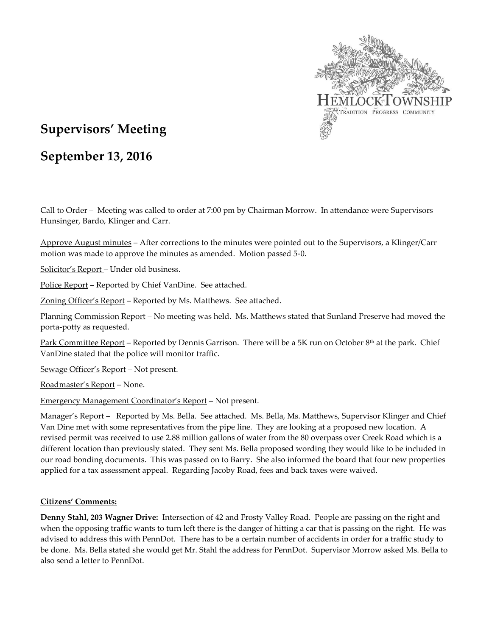

# **Supervisors' Meeting**

# **September 13, 2016**

Call to Order – Meeting was called to order at 7:00 pm by Chairman Morrow. In attendance were Supervisors Hunsinger, Bardo, Klinger and Carr.

Approve August minutes – After corrections to the minutes were pointed out to the Supervisors, a Klinger/Carr motion was made to approve the minutes as amended. Motion passed 5-0.

Solicitor's Report – Under old business.

Police Report – Reported by Chief VanDine. See attached.

Zoning Officer's Report - Reported by Ms. Matthews. See attached.

Planning Commission Report – No meeting was held. Ms. Matthews stated that Sunland Preserve had moved the porta-potty as requested.

Park Committee Report – Reported by Dennis Garrison. There will be a 5K run on October 8<sup>th</sup> at the park. Chief VanDine stated that the police will monitor traffic.

Sewage Officer's Report – Not present.

Roadmaster's Report – None.

Emergency Management Coordinator's Report – Not present.

Manager's Report – Reported by Ms. Bella. See attached. Ms. Bella, Ms. Matthews, Supervisor Klinger and Chief Van Dine met with some representatives from the pipe line. They are looking at a proposed new location. A revised permit was received to use 2.88 million gallons of water from the 80 overpass over Creek Road which is a different location than previously stated. They sent Ms. Bella proposed wording they would like to be included in our road bonding documents. This was passed on to Barry. She also informed the board that four new properties applied for a tax assessment appeal. Regarding Jacoby Road, fees and back taxes were waived.

## **Citizens' Comments:**

**Denny Stahl, 203 Wagner Drive:** Intersection of 42 and Frosty Valley Road. People are passing on the right and when the opposing traffic wants to turn left there is the danger of hitting a car that is passing on the right. He was advised to address this with PennDot. There has to be a certain number of accidents in order for a traffic study to be done. Ms. Bella stated she would get Mr. Stahl the address for PennDot. Supervisor Morrow asked Ms. Bella to also send a letter to PennDot.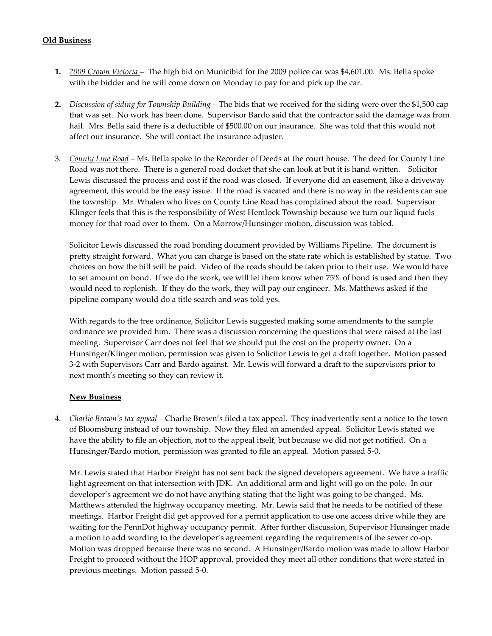## **Old Business**

- **1.** *2009 Crown Victoria* The high bid on Municibid for the 2009 police car was \$4,601.00. Ms. Bella spoke with the bidder and he will come down on Monday to pay for and pick up the car.
- **2.** *Discussion of siding for Township Building* The bids that we received for the siding were over the \$1,500 cap that was set. No work has been done. Supervisor Bardo said that the contractor said the damage was from hail. Mrs. Bella said there is a deductible of \$500.00 on our insurance. She was told that this would not affect our insurance. She will contact the insurance adjuster.
- 3. *County Line Road* Ms. Bella spoke to the Recorder of Deeds at the court house. The deed for County Line Road was not there. There is a general road docket that she can look at but it is hand written. Solicitor Lewis discussed the process and cost if the road was closed. If everyone did an easement, like a driveway agreement, this would be the easy issue. If the road is vacated and there is no way in the residents can sue the township. Mr. Whalen who lives on County Line Road has complained about the road. Supervisor Klinger feels that this is the responsibility of West Hemlock Township because we turn our liquid fuels money for that road over to them. On a Morrow/Hunsinger motion, discussion was tabled.

Solicitor Lewis discussed the road bonding document provided by Williams Pipeline. The document is pretty straight forward. What you can charge is based on the state rate which is established by statue. Two choices on how the bill will be paid. Video of the roads should be taken prior to their use. We would have to set amount on bond. If we do the work, we will let them know when 75% of bond is used and then they would need to replenish. If they do the work, they will pay our engineer. Ms. Matthews asked if the pipeline company would do a title search and was told yes.

With regards to the tree ordinance, Solicitor Lewis suggested making some amendments to the sample ordinance we provided him. There was a discussion concerning the questions that were raised at the last meeting. Supervisor Carr does not feel that we should put the cost on the property owner. On a Hunsinger/Klinger motion, permission was given to Solicitor Lewis to get a draft together. Motion passed 3-2 with Supervisors Carr and Bardo against. Mr. Lewis will forward a draft to the supervisors prior to next month's meeting so they can review it.

## **New Business**

4. *Charlie Brown's tax appeal* – Charlie Brown's filed a tax appeal. They inadvertently sent a notice to the town of Bloomsburg instead of our township. Now they filed an amended appeal. Solicitor Lewis stated we have the ability to file an objection, not to the appeal itself, but because we did not get notified. On a Hunsinger/Bardo motion, permission was granted to file an appeal. Motion passed 5-0.

Mr. Lewis stated that Harbor Freight has not sent back the signed developers agreement. We have a traffic light agreement on that intersection with JDK. An additional arm and light will go on the pole. In our developer's agreement we do not have anything stating that the light was going to be changed. Ms. Matthews attended the highway occupancy meeting. Mr. Lewis said that he needs to be notified of these meetings. Harbor Freight did get approved for a permit application to use one access drive while they are waiting for the PennDot highway occupancy permit. After further discussion, Supervisor Hunsinger made a motion to add wording to the developer's agreement regarding the requirements of the sewer co-op. Motion was dropped because there was no second. A Hunsinger/Bardo motion was made to allow Harbor Freight to proceed without the HOP approval, provided they meet all other conditions that were stated in previous meetings. Motion passed 5-0.